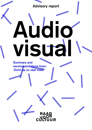**Advisory report** 

# **Audio visual Summary** and **recommendations from:** 'Zicht op zo veel meer'

**UR**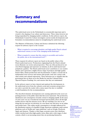## **Summary** and **recommendations**

The audiovisual sector in the Netherlands is economically important and is crucial to the shaping of our culture and democracy. These values however are being jeopardized by changing market conditions. In this advisory report, the Netherlands Council for Culture investigates current media developments and formulates recommendations aimed at strengthening the audiovisual sector.

The Minister of Education, Culture and Science submitted the following request for advisory report to the Council:

- What is required to encourage pluralistic and high-quality Dutch cultural audiovisual content, in view of the changing media landscape?
- What is required to ensure that this content is accessible and reaches the public, also at the international level? [1]

These requests for advisory report are based on the public values of the Dutch audiovisual sector. Productions originating from the Dutch cultural sector illustrate our stories and perspectives. They are often produced in our own Dutch language and represent our identity, in all its multi-layered and polyphonic qualities. The Dutch audiovisual sector contributes to our creative climate and it generates a highly diverse range of products and high-quality feature films, drama productions and documentaries. It plays a crucial role in independent news services and ensures that people come into contact with other artistic and cultural expressions. These functions are so valuable that the government has set them out in the Media Act and the Cultural Policy (Special Purpose Funding) Act, and ensures that they are maintained.

In the advisory report we have charted and analysed the developments in the audiovisual sector from the cultural, social and economic perspectives  $$ not only to provide the reader with a status report but also to establish a solid foundation for the recommendations.

The described dramatic developments now causing upheaval in the sector are putting pressure on the public values that this sector represents. The production, distribution and consumption of media content is changing rapidly. In the space of a few years our use of media has increased spectacularly, above all through mobile devices with fast internet access. We are watching a lot, but we are doing this less and less via television, in a less linear way and more on an online and mobile basis. This online media consumption is strongly influenced by the distribution options of a handful of large American companies: paid-content platforms such as Netflix and 'super platforms' such as Google, Facebook, Apple and Amazon. Thanks to their huge economic power they distribute widely watched and often high-quality series, films and a wide range of other content, which to an increasing extent they are producing themselves.

[Adviesaanvraag](http://toekomst-cultuurbeleid.cultuur.nl/sectoradviezen/audiovisueel/bijlagen) cultureel audiovisueel [product](http://toekomst-cultuurbeleid.cultuur.nl/sectoradviezen/audiovisueel/bijlagen) (Request for advice on cultural audiovisual (product *2016, November 18 1045562 reference*

1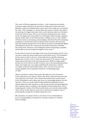The reach of Dutch programme providers – both commercial and public – is being strongly reduced by the growth of foreign paid-content and super platforms. A process of displacement can be seen: if you watch one, you exclude the other. This is leading to a winner-takes-all scenario in which a few players are growing ever bigger and many other, mostly national, players are having to accept less and less space. We can see the same development in the cinema sector: the largest part of the market is in the hands of three foreign companies and the market share of the Dutch product is falling. Access to and visibility of Dutch content is decreasing correspondingly. And when Dutch broadcasting companies or productions reach less people, their relevance decreases and thus their business perspectives as well. Recent forecasts on dramatically falling advertising income for the commercial and public broadcasters underline this all the more. Moreover, state funding for public broadcasting companies and the film sector has dropped strongly in recent years. [2]

In this advisory report we investigate what steps the government and the sector can take to make the Dutch audiovisual system future-proof. The foundation for the system is laid in *education*: with media literacy and film education. Besides this, we have come to realise the importance of the *quality* of cultural audiovisual productions in the international arena. Without a high-quality product the sector will not be able to hold its own in the international product range. Our studies also once again underlined the importance of broad accessibility of Dutch audiovisual products. How can one ensure that one remains findable and recognisable amidst the overwhelming range on offer?

Money is needed to achieve these goals. We argue for extra investment in the audiovisual sector. But we believe that much of this investment should come from the sector itself. The revenues from audiovisual content shown in the Netherlands, such as films and series, are increasingly going to the end operators. These are mostly large foreign distribution platforms such as cinema chains and cable operators, as well as paid-content and super platforms, that contribute little or nothing to the funding of Dutch productions. This is jeopardising the vitality of the Dutch audiovisual sector and the related public values. Hence in this advisory report the Council has investigated ways of promoting the circular flow of funds within the sector.

We summarise our analysis below in the form of six recommendations. If one recommendation is intended for a specific recipient, we indicate this accordingly.

> $\overline{2}$  Onderzoek inkomstenopties (Study of Income Options)  $2017 - 2022.$ **National Public**  Broadcasting  $(LPO)$ , EY, *2017 November 17*

**Advisory Report**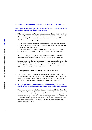#### **1.** Create the framework conditions for a viable audiovisual sector.

In order to increase the circular *flow of funds* in the sector we recommend that national government take the following actions:

- $-$  Following the example of neighbouring countries, impose levies on all end operators for both paid and free offline and online services. The Council considers a levy of approximately 2 to 5 per cent to be reasonable. We advise that this levy be imposed on:
	- 1. The revenues from the sale/hire/subscriptions of audiovisual material.
	- 2. The revenues from admission to cinematographic/audiovisual material (cinemas and film theatres).
	- 3. The revenues from connections to telecom and cable distribution.
	- 4. The advertising revenues from platforms that provide AV content.

When determining the percentage, take into account the vulnerability or cultural significance of some end operators, such as film theatres.

- $\hbox{--}$  Issue guidelines for the data transparency of end operators for the benefit of rights holders. By analogy with the cinema sector, digital platforms too should offer rights holders insight into, among other things, the size of the public reached by their production.
- Combat piracy and make anti-piracy part of media education.
- $P$  = Ensure that long-term agreements are made on the role of production companies and broadcasting companies in the distribution of rights, thus enabling an optimum business environment. Maintain a level playing field between broadcasting companies and external producers.
- **2.** Draw up an investment agenda that facilitates the future of the Dutch AV sector and strengthens the cultural audiovisual product.
- Fund the investment agenda from the above-mentioned levies. Since the introduction of levies and remittances requires a legal framework and will thus take some time to realise, we advise the government to support the sector with a bridging loan of 50 million euros per year. This loan should be repaid to central government from the time that the remittances come into effect. Under Points 3, 4 and 5 we advise on the building blocks of this investment agenda.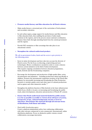#### **13. Promote media literacy and film education for all Dutch citizens.**

- $P$  Make media literacy a structural part of the curriculum of both primary and secondary education.
- In each urban region, assign support for media literacy and film education to film education hubs, thus enabling the provision of tailor-made solutions in the regions, and in the process ensure national coordination. Finance these hubs through matching funds from the central government and the regions.
- Provide VAT exemption to film screenings that take place in an educational context.

#### **4.** Strengthen the cultural audiovisual product.

We call on government bodies, funds and the sector to give priority to the following points:

- $-$  Invest in talent development and here take into account the diversity of Dutch society. Put the focus on directing, scriptwriting and new technologies. Better coordination is needed in order to create cohesion between current initiatives in the field of talent development. This requires ongoing consultation between education programmes, funds, festivals and the broadcasting companies.
- Encourage the development and production of high-quality films, series,  $d$  ocumentaries and animation – including productions aimed specifically at children. Promote the international competitive position of the Dutch film industry by structurally increasing and broadening the Film Production Incentive to include quality series and other types of cultural productions such as games and other immersive media.<sup>[3]</sup>
- Strengthen the platform function of film festivals in the basic infrastructure which focus, wholly or in part, on increasing and broadening the public reach, talent development, education and promotion of Dutch AV content.
- 5. Ensure that Dutch audiovisual material funded by public money is as far as possible accessible to viewers from all layers of society, **irrespective of age, cultural background, income or level of education. Disseminate this material through all relevant forms**  $of$  distribution, both linear and online.
- *aragency bublic broadcasting agency*

Create a platform-independent policy, here embracing collaboration with other relevant commercial or non-commercial, (international) online distribution platforms. Focus on distinctive public content, reward  $\alpha$  . In the collaboration, encourage innovation.

filmfonds.nl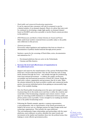- *organisations broadcasting commercial and public Dutch–* It can be expected that consumers will only be prepared to pay for a limited number of on-demand channels. Hence we advise that joint work be continued on developing a single high-quality on-demand channel based on NLZIET, and as far as possible to involve Dutch content providers in this platform.
- <sup>-</sup> EYE Filmmuseum and Beeld en Geluid (Institute for Sound and Vision) Make audiovisual (archive) material better accessible online to the public and collaborate in this process.
- *government National–*

If necessary adjust legislation and regulations that form an obstacle to dissemination of publicly funded material through private parties.

- $\overline{\phantom{a}}$  Institute a quota for the screening of Dutch films, series, documentaries and animations for: [4]
	- 1. On-demand platforms that are active in the Netherlands.
	- 2. Cinemas and film theatres.

### *i***. Increase the level and effectiveness of organisation in** the audiovisual sector.

- Support and supervise the transformation of the current Netherlands Film Fund into a broad audiovisual fund. Give the AV Fund the task of using funds obtained through the levies – and initially through the prefinancing  $\alpha$  loans from national government – to address the quality, production, accessibility and international promotion of Dutch AV content. Equip the fund with a culture, organisation and governance that fit its tasks. Make the schemes initiated by the fund accessible to public and commercial media parties, but prevent individual parties from gaining an unreasonably large share of the available funding.
- Give the Dutch public broadcasting sector the space and strength to realise its pioneering role in the media sector and thus to utilise the creativity and social links of the broadcasting companies and content creators. Create space by removing possible limitations to collaboration between public and private parties as far as possible. Create strength by not making any further cuts to the public broadcasting sector.
- Following the Danish example, appoint a common representative, a tech-ambassador, who as representative of the Dutch government on behalf of all sectors acts as a dialogue partner for large foreign media and technology organisations. This includes the super platforms. The tech-ambassador forges relationships and partnerships with the super platforms, exerts influence on policy, identifies the major trends and movements in the market and translates these into the political arena, thus helping to create effective government policy.

4 For 'Dutch': see the corresponding criteria applied by the Netherlands Film Fund.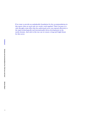If we want to provide an unshakeable foundation for the recommendations in this report, then we need only two words: work together! That's because it is only through a joint effort that the audiovisual sector can respond effectively to the rapid technologically and internationally driven developments in the media domain. And only in this way can we ensure a long and bright future for this sector.